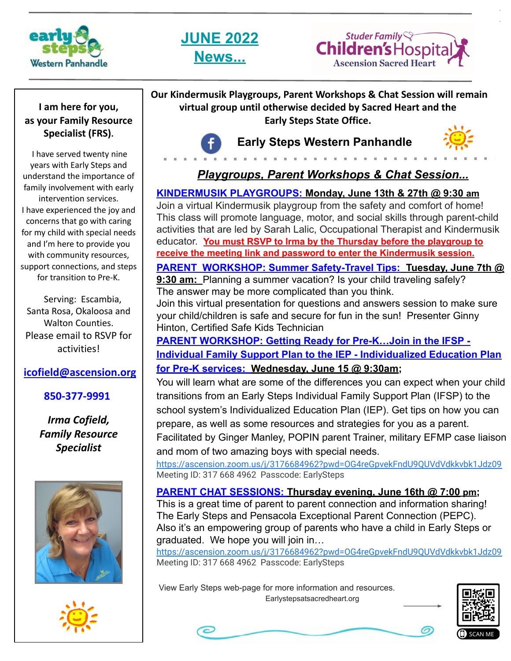





#### **I am here for you, as your Family Resource Specialist (FRS).**

 I have served twenty nine years with Early Steps and understand the importance of family involvement with early intervention services. I have experienced the joy and concerns that go with caring for my child with special needs and I'm here to provide you with community resources, support connections, and steps for transition to Pre-K.

Serving: Escambia, Santa Rosa, Okaloosa and Walton Counties. Please email to RSVP for activities!

#### **[icofield@ascension.org](mailto:icofield@ascension.org)**

#### **850-377-9991**

*Irma Cofield, Family Resource Specialist* 





**Our Kindermusik Playgroups, Parent Workshops & Chat Session will remain virtual group until otherwise decided by Sacred Heart and the Early Steps State Office.**



## **Early Steps Western Panhandle**



### *Playgroups, Parent Workshops & Chat Session...*

#### **KINDERMUSIK PLAYGROUPS: Monday, June 13th & 27th @ 9:30 am**

Join a virtual Kindermusik playgroup from the safety and comfort of home! This class will promote language, motor, and social skills through parent-child activities that are led by Sarah Lalic, Occupational Therapist and Kindermusik educator. **You must RSVP to Irma by the Thursday before the playgroup to receive the meeting link and password to enter the Kindermusik session.**

**PARENT WORKSHOP: Summer Safety-Travel Tips: Tuesday, June 7th @** 9:30 am: Planning a summer vacation? Is your child traveling safely?

The answer may be more complicated than you think.

Join this virtual presentation for questions and answers session to make sure your child/children is safe and secure for fun in the sun! Presenter Ginny Hinton, Certified Safe Kids Technician

**PARENT WORKSHOP: Getting Ready for Pre-K…Join in the IFSP - Individual Family Support Plan to the IEP - Individualized Education Plan for Pre-K services: Wednesday, June 15 @ 9:30am;**

You will learn what are some of the differences you can expect when your child transitions from an Early Steps Individual Family Support Plan (IFSP) to the school system's Individualized Education Plan (IEP). Get tips on how you can prepare, as well as some resources and strategies for you as a parent. Facilitated by Ginger Manley, POPIN parent Trainer, military EFMP case liaison and mom of two amazing boys with special needs.

<https://ascension.zoom.us/j/3176684962?pwd=OG4reGpvekFndU9QUVdVdkkvbk1Jdz09> Meeting ID: 317 668 4962 Passcode: EarlySteps

#### **PARENT CHAT SESSIONS: Thursday evening, June 16th @ 7:00 pm;**

This is a great time of parent to parent connection and information sharing! The Early Steps and Pensacola Exceptional Parent Connection (PEPC). Also it's an empowering group of parents who have a child in Early Steps or graduated. We hope you will join in…

<https://ascension.zoom.us/j/3176684962?pwd=OG4reGpvekFndU9QUVdVdkkvbk1Jdz09> Meeting ID: 317 668 4962 Passcode: EarlySteps

 View Early Steps web-page for more information and resources. Earlystepsatsacredheart.org